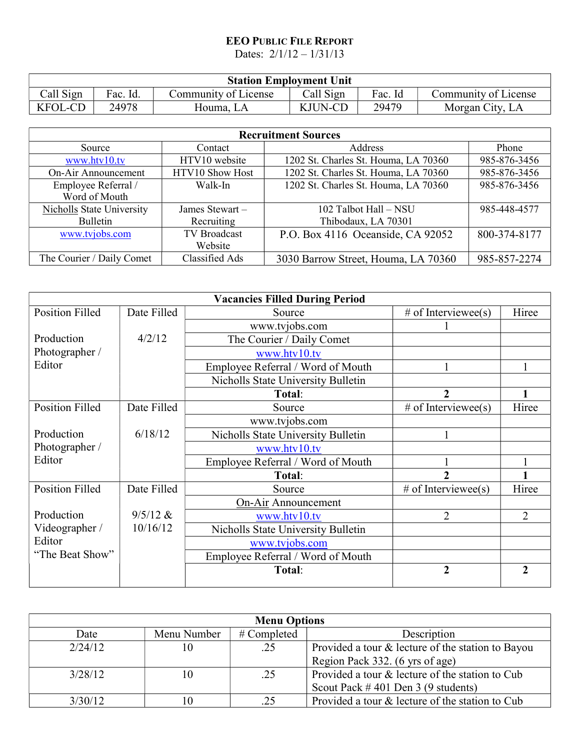## EEO PUBLIC FILE REPORT

Dates: 2/1/12 – 1/31/13

|                |          |                      | <b>Station Employment Unit</b> |         |                      |
|----------------|----------|----------------------|--------------------------------|---------|----------------------|
| Call Sign      | Fac. Id. | Community of License | Call Sign                      | Fac. Id | Community of License |
| <b>KFOL-CD</b> | 24978    | Houma. LA            | KJUN-CD                        | 29479   | Morgan City, LA      |

| <b>Recruitment Sources</b>           |                     |                                      |              |
|--------------------------------------|---------------------|--------------------------------------|--------------|
| Source                               | Contact             | Address                              | Phone        |
| www.htv10.tv                         | HTV10 website       | 1202 St. Charles St. Houma, LA 70360 | 985-876-3456 |
| On-Air Announcement                  | HTV10 Show Host     | 1202 St. Charles St. Houma, LA 70360 | 985-876-3456 |
| Employee Referral /<br>Word of Mouth | Walk-In             | 1202 St. Charles St. Houma, LA 70360 | 985-876-3456 |
| Nicholls State University            | James Stewart -     | 102 Talbot Hall - NSU                | 985-448-4577 |
| Bulletin                             | Recruiting          | Thibodaux, LA 70301                  |              |
| www.tvjobs.com                       | <b>TV</b> Broadcast | P.O. Box 4116 Oceanside, CA 92052    | 800-374-8177 |
|                                      | Website             |                                      |              |
| The Courier / Daily Comet            | Classified Ads      | 3030 Barrow Street, Houma, LA 70360  | 985-857-2274 |

|                        |             | <b>Vacancies Filled During Period</b> |                     |                |
|------------------------|-------------|---------------------------------------|---------------------|----------------|
| <b>Position Filled</b> | Date Filled | Source                                | # of Interviewee(s) | Hiree          |
|                        |             | www.tvjobs.com                        |                     |                |
| Production             | 4/2/12      | The Courier / Daily Comet             |                     |                |
| Photographer /         |             | www.htv10.tv                          |                     |                |
| Editor                 |             | Employee Referral / Word of Mouth     |                     |                |
|                        |             | Nicholls State University Bulletin    |                     |                |
|                        |             | Total:                                | $\overline{2}$      |                |
| <b>Position Filled</b> | Date Filled | Source                                | # of Interviewee(s) | Hiree          |
|                        |             | www.tvjobs.com                        |                     |                |
| Production             | 6/18/12     | Nicholls State University Bulletin    |                     |                |
| Photographer /         |             | www.htv10.tv                          |                     |                |
| Editor                 |             | Employee Referral / Word of Mouth     |                     |                |
|                        |             | Total:                                | 2                   |                |
| <b>Position Filled</b> | Date Filled | Source                                | # of Interviewee(s) | Hiree          |
|                        |             | On-Air Announcement                   |                     |                |
| Production             | $9/5/12$ &  | www.htv10.tv                          | $\overline{2}$      | $\overline{2}$ |
| Videographer /         | 10/16/12    | Nicholls State University Bulletin    |                     |                |
| Editor                 |             | www.tvjobs.com                        |                     |                |
| "The Beat Show"        |             | Employee Referral / Word of Mouth     |                     |                |
|                        |             | Total:                                | $\overline{2}$      | $\mathfrak{D}$ |

| <b>Menu Options</b> |             |             |                                                   |
|---------------------|-------------|-------------|---------------------------------------------------|
| Date                | Menu Number | # Completed | Description                                       |
| 2/24/12             | 10          | .25         | Provided a tour & lecture of the station to Bayou |
|                     |             |             | Region Pack 332. (6 yrs of age)                   |
| 3/28/12             |             | .25         | Provided a tour & lecture of the station to Cub   |
|                     |             |             | Scout Pack $\#$ 401 Den 3 (9 students)            |
| 3/30/12             |             | .25         | Provided a tour & lecture of the station to Cub   |